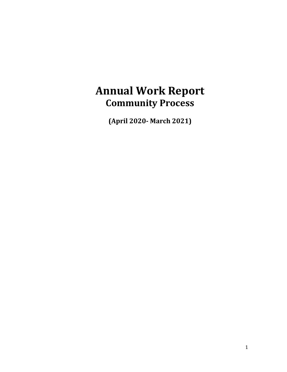# **Annual Work Report Community Process**

**(April 2020‐ March 2021)**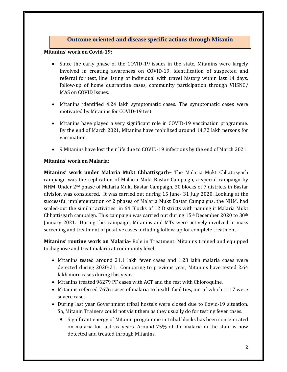# **Outcome oriented and disease specific actions through Mitanin**

#### **Mitanins' work on Covid‐19:**

- Since the early phase of the COVID-19 issues in the state, Mitanins were largely involved in creating awareness on COVID-19, identification of suspected and referral for test, line listing of individual with travel history within last 14 days, follow-up of home quarantine cases, community participation through VHSNC/ MAS on COVID Issues.
- Mitanins identified 4.24 lakh symptomatic cases. The symptomatic cases were motivated by Mitanins for COVID-19 test.
- Mitanins have played a very significant role in COVID-19 vaccination programme. By the end of March 2021, Mitanins have mobilized around 14.72 lakh persons for vaccination.
- 9 Mitanins have lost their life due to COVID-19 infections by the end of March 2021.

## **Mitanins' work on Malaria:**

**Mitanins' work under Malaria Mukt Chhattisgarh–** The Malaria Mukt Chhattisgarh campaign was the replication of Malaria Mukt Bastar Campaign, a special campaign by NHM. Under  $2<sup>nd</sup>$  phase of Malaria Mukt Bastar Campaign, 30 blocks of 7 districts in Bastar division was considered. It was carried out during  $15$  June  $-31$  July 2020. Looking at the successful implementation of 2 phases of Malaria Mukt Bastar Campaigns, the NHM, had scaled-out the similar activities in 64 Blocks of 12 Districts with naming it Malaria Mukt Chhattisgarh campaign. This campaign was carried out during  $15<sup>th</sup>$  December 2020 to 30<sup>th</sup> January 2021. During this campaign, Mitanins and MTs were actively involved in mass screening and treatment of positive cases including follow-up for complete treatment.

**Mitanins' routine work on Malaria‐** Role in Treatment: Mitanins trained and equipped to diagnose and treat malaria at community level.

- Mitanins tested around 21.1 lakh fever cases and 1.23 lakh malaria cases were detected during 2020-21. Comparing to previous year, Mitanins have tested 2.64 lakh more cases during this year.
- Mitanins treated 96279 PF cases with ACT and the rest with Chloroquine.
- Mitanins referred 7676 cases of malaria to health facilities, out of which 1117 were severe cases.
- During last year Government tribal hostels were closed due to Covid-19 situation. So, Mitanin Trainers could not visit them as they usually do for testing fever cases.
	- Significant energy of Mitanin programme in tribal blocks has been concentrated on malaria for last six years. Around  $75\%$  of the malaria in the state is now detected and treated through Mitanins.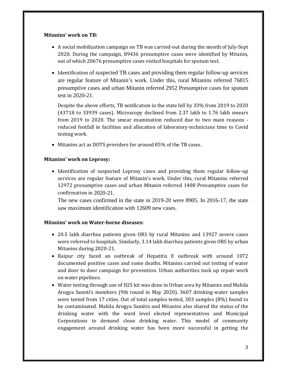## **Mitanins' work on TB:**

- A social mobilization campaign on TB was carried-out during the month of July-Sept 2020. During the campaign, 89436 presumptive cases were identified by Mitanin, out of which 20676 presumptive cases visited hospitals for sputum test.
- Identification of suspected TB cases and providing them regular follow-up services are regular feature of Mitanin's work. Under this, rural Mitanins referred 76815 presumptive cases and urban Mitanin referred 2952 Presumptive cases for sputum test in 2020-21.

Despite the above efforts, TB notification in the state fell by 33% from 2019 to 2020  $(43718$  to  $33939$  cases). Microscopy declined from 2.37 lakh to 1.76 lakh smears from  $2019$  to  $2020$ . The smear examination reduced due to two main reasons  $-\frac{1}{2}$ reduced footfall in facilities and allocation of laboratory-technicians time to Covid testing work.

• Mitanins act as DOTS providers for around 85% of the TB cases.

## **Mitanins' work on Leprosy:**

• Identification of suspected Leprosy cases and providing them regular follow-up services are regular feature of Mitanin's work. Under this, rural Mitanins referred 12972 presumptive cases and urban Mitanin referred 1408 Presumptive cases for confirmation in 2020-21.

The new cases confirmed in the state in 2019-20 were 8905. In 2016-17, the state saw maximum identification with 12609 new cases.

## **Mitanins' work on Water‐borne diseases:**

- 20.5 lakh diarrhea patients given ORS by rural Mitanins and 13927 severe cases were referred to hospitals. Similarly, 3.14 lakh diarrhea patients given ORS by urban Mitanins during 2020-21.
- Raipur city faced an outbreak of Hepatitis E outbreak with around 1072 documented positive cases and some deaths. Mitanins carried out testing of water and door to door campaign for prevention. Urban authorities took up repair work on water pipelines.
- Water testing through use of H2S kit was done in Urban area by Mitanins and Mahila Arogya Samiti's members (9th round in May 2020). 3607 drinking-water samples were tested from 17 cities. Out of total samples tested, 303 samples (8%) found to be contaminated. Mahila Arogya Samitis and Mitanins also shared the status of the drinking water with the ward level elected representatives and Municipal Corporations to demand clean drinking water. This model of community engagement around drinking water has been more successful in getting the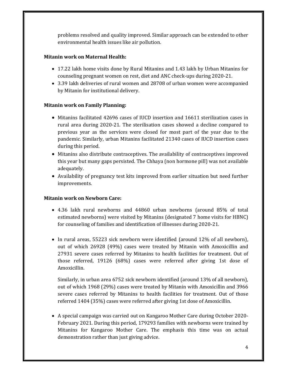problems resolved and quality improved. Similar approach can be extended to other environmental health issues like air pollution.

## **Mitanin work on Maternal Health:**

- 17.22 lakh home visits done by Rural Mitanins and 1.43 lakh by Urban Mitanins for counseling pregnant women on rest, diet and ANC check-ups during 2020-21.
- 3.39 lakh deliveries of rural women and 28708 of urban women were accompanied by Mitanin for institutional delivery.

## **Mitanin work on Family Planning:**

- Mitanins facilitated 42696 cases of IUCD insertion and 16611 sterilization cases in rural area during 2020-21. The sterilisation cases showed a decline compared to previous year as the services were closed for most part of the year due to the pandemic. Similarly, urban Mitanins facilitated 21340 cases of IUCD insertion cases during this period.
- Mitanins also distribute contraceptives. The availability of contraceptives improved this year but many gaps persisted. The Chhaya (non hormone pill) was not available adequately.
- Availability of pregnancy test kits improved from earlier situation but need further improvements.

## **Mitanin work on Newborn Care:**

- 4.36 lakh rural newborns and 44860 urban newborns (around 85% of total estimated newborns) were visited by Mitanins (designated 7 home visits for HBNC) for counseling of families and identification of illnesses during 2020-21.
- In rural areas, 55223 sick newborn were identified (around 12% of all newborn), out of which 26928 (49%) cases were treated by Mitanin with Amoxicillin and 27931 severe cases referred by Mitanins to health facilities for treatment. Out of those referred, 19126 (68%) cases were referred after giving 1st dose of Amoxicillin.

Similarly, in urban area  $6752$  sick newborn identified (around  $13\%$  of all newborn), out of which 1968 (29%) cases were treated by Mitanin with Amoxicillin and 3966 severe cases referred by Mitanins to health facilities for treatment. Out of those referred 1404 (35%) cases were referred after giving 1st dose of Amoxicillin.

• A special campaign was carried out on Kangaroo Mother Care during October 2020– February 2021. During this period, 179293 families with newborns were trained by Mitanins for Kangaroo Mother Care. The emphasis this time was on actual demonstration rather than just giving advice.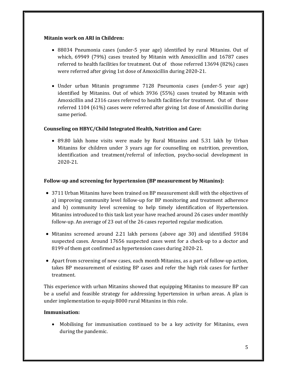#### **Mitanin work on ARI in Children:**

- 88034 Pneumonia cases (under-5 year age) identified by rural Mitanins. Out of which,  $69949$  (79%) cases treated by Mitanin with Amoxicillin and  $16787$  cases referred to health facilities for treatment. Out of those referred  $13694$  (82%) cases were referred after giving 1st dose of Amoxicillin during 2020-21.
- Under urban Mitanin programme 7128 Pneumonia cases (under-5 year age) identified by Mitanins. Out of which 3936 (55%) cases treated by Mitanin with Amoxicillin and 2316 cases referred to health facilities for treatment. Out of those referred  $1104$  (61%) cases were referred after giving 1st dose of Amoxicillin during same period.

## **Counseling on HBYC/Child Integrated Health, Nutrition and Care:**

• 89.80 lakh home visits were made by Rural Mitanins and 5.31 lakh by Urban Mitanins for children under 3 years age for counselling on nutrition, prevention, identification and treatment/referral of infection, psycho-social development in 2020‐21. 

## **Follow‐up and screening for hypertension (BP measurement by Mitanins):**

- 3711 Urban Mitanins have been trained on BP measurement skill with the objectives of a) improving community level follow-up for BP monitoring and treatment adherence and b) community level screening to help timely identification of Hypertension. Mitanins introduced to this task last year have reached around 26 cases under monthly follow-up. An average of 23 out of the 26 cases reported regular medication.
- Mitanins screened around 2.21 lakh persons (above age 30) and identified 59184 suspected cases. Around 17656 suspected cases went for a check-up to a doctor and 8199 of them got confirmed as hypertension cases during 2020-21.
- Apart from screening of new cases, each month Mitanins, as a part of follow-up action, takes BP measurement of existing BP cases and refer the high risk cases for further treatment.

This experience with urban Mitanins showed that equipping Mitanins to measure BP can be a useful and feasible strategy for addressing hypertension in urban areas. A plan is under implementation to equip 8000 rural Mitanins in this role.

## **Immunisation:**

• Mobilising for immunisation continued to be a key activity for Mitanins, even during the pandemic.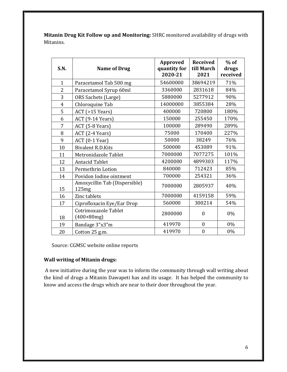**Mitanin Drug Kit Follow up and Monitoring:** SHRC monitored availability of drugs with Mitanins. 

| <b>S.N.</b>    | <b>Name of Drug</b>                    | Approved<br>quantity for<br>2020-21 | <b>Received</b><br>till March<br>2021 | $%$ of<br>drugs<br>received |
|----------------|----------------------------------------|-------------------------------------|---------------------------------------|-----------------------------|
| $\mathbf{1}$   | Paracetamol Tab 500 mg                 | 54600000                            | 38694219                              | 71%                         |
| $\overline{2}$ | Paracetamol Syrup 60ml                 | 3360000                             | 2831618                               | 84%                         |
| 3              | ORS Sachets (Large)                    | 5880000                             | 5277912                               | 90%                         |
| $\overline{4}$ | Chloroquine Tab                        | 14000000                            | 3855384                               | 28%                         |
| 5              | $ACT$ (>15 Years)                      | 400000                              | 720800                                | 180%                        |
| 6              | ACT (9-14 Years)                       | 150000                              | 255450                                | 170%                        |
| 7              | ACT (5-8 Years)                        | 100000                              | 289490                                | 289%                        |
| 8              | ACT (2-4 Years)                        | 75000                               | 170400                                | 227%                        |
| 9              | ACT (0-1 Year)                         | 50000                               | 38249                                 | 76%                         |
| 10             | <b>Bivalent R.D.Kits</b>               | 500000                              | 453089                                | 91%                         |
| 11             | Metronidazole Tablet                   | 7000000                             | 7077275                               | 101%                        |
| 12             | <b>Antacid Tablet</b>                  | 4200000                             | 4899303                               | 117%                        |
| 13             | Permethrin Lotion                      | 840000                              | 712423                                | 85%                         |
| 14             | Povidon Iodine ointment                | 700000                              | 254321                                | 36%                         |
| 15             | Amoxycillin Tab (Dispersible)<br>125mg | 7000000                             | 2805937                               | 40%                         |
| 16             | Zinc tablets                           | 7000000                             | 4159158                               | 59%                         |
| 17             | Ciprofloxacin Eye/Ear Drop             | 560000                              | 300214                                | 54%                         |
| 18             | Cotrimoxazole Tablet<br>$(400+80mg)$   | 2800000                             | $\mathbf{0}$                          | 0%                          |
| 19             | Bandage 3"x3"m                         | 419970                              | $\mathbf{0}$                          | 0%                          |
| 20             | Cotton 25 g.m.                         | 419970                              | $\boldsymbol{0}$                      | 0%                          |

Source: CGMSC website online reports

# **Wall writing of Mitanin drugs:**

A new initiative during the year was to inform the community through wall writing about the kind of drugs a Mitanin Dawapeti has and its usage. It has helped the community to know and access the drugs which are near to their door throughout the year.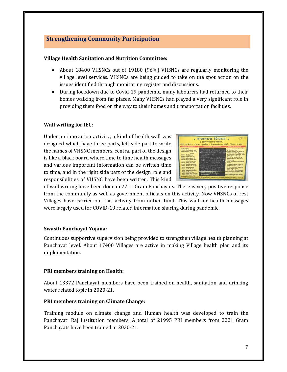# **Strengthening Community Participation**

## **Village Health Sanitation and Nutrition Committee:**

- About 18400 VHSNCs out of 19180 (96%) VHSNCs are regularly monitoring the village level services. VHSNCs are being guided to take on the spot action on the issues identified through monitoring register and discussions.
- During lockdown due to Covid-19 pandemic, many labourers had returned to their homes walking from far places. Many VHSNCs had played a very significant role in providing them food on the way to their homes and transportation facilities.

## **Wall** writing for **IEC**:

Under an innovation activity, a kind of health wall was designed which have three parts, left side part to write the names of VHSNC members, central part of the design is like a black board where time to time health messages and various important information can be written time to time, and in the right side part of the design role and responsibilities of VHSNC have been written. This kind

| subject is well being a series of                                                                                                                                                                                                                                                                                                                                                                                                                                | स्वास्टय विवाल .<br>( ग्राम स्वास्टव नामिति)<br>राजा - कृष्णरेल , पंचायत - कृष्णरेल , विकासरसंद - धरसीयाँ , 'जिल्ल - शबपुर'<br><b>Contract of List / Gallery applier</b>                                                                                                                                                                                                                                                                                                    | <b>Company as agreed about</b>                                                                                                                                                                                                                                                                                                                                                                                                                                      |
|------------------------------------------------------------------------------------------------------------------------------------------------------------------------------------------------------------------------------------------------------------------------------------------------------------------------------------------------------------------------------------------------------------------------------------------------------------------|-----------------------------------------------------------------------------------------------------------------------------------------------------------------------------------------------------------------------------------------------------------------------------------------------------------------------------------------------------------------------------------------------------------------------------------------------------------------------------|---------------------------------------------------------------------------------------------------------------------------------------------------------------------------------------------------------------------------------------------------------------------------------------------------------------------------------------------------------------------------------------------------------------------------------------------------------------------|
| <b>MAZZEL ABANK</b><br>your fluislay, findle apparent<br>during thermal and particle<br>ment - aftest you my<br><b>HERM - After Adout ing</b><br>escer-slast with a<br><b>HOFF - shed surrural</b><br>wear, also bully war<br><b>SHELL SUPPORT WAS STOLEN AND</b><br>were. admit mind aboth<br>ye vede folks 1999<br>surer, affect she share<br>were alled poser most<br><b>ROUT - alleft abid war</b><br>secure-wheelt dealy powerful<br>new bear, balla . yest | $2 + 2$ and $ \sqrt{1 + 2}$<br>end in with the count of any city.<br>the month of a car<br><b>ASTOR AND STORE STORE AND AND AND ARTICO</b><br>and want are 497 at any 110<br><b>ITALIAN DE TROPINANT</b><br><b>DOMESTIC LONG LIGHTER WITH I</b><br>matter of all so mover trems and<br>生化物 计可能确认的<br>strande ähen de även.<br>Contract States -<br>राम पोर्टल शासका अवस्था छ। कित अधिको कीर मानन परिवार है। अन्य में घटेन की अनुसार को सामाजान है जाने के लिए सह भी पटन में | a waver, awill no show a star.<br>personalized by pressure of<br>around answers? Ally Hand All<br>stead area 24- chaserer,<br>money adoor, allow auth too<br>all at you at your !<br>present after search at the art<br>. He's annuly aif a wheel sir<br>ernelly stand around Home:<br>a 289 di anarazzazione adale ai<br><b>Hill are sender arour I</b><br>. 100 at not get Jose at most i<br>they dire shed a day<br>a letter all conserving got a none wherein a |

of wall writing have been done in 2711 Gram Panchayats. There is very positive response from the community as well as government officials on this activity. Now VHSNCs of rest Villages have carried-out this activity from untied fund. This wall for health messages were largely used for COVID-19 related information sharing during pandemic.

## **Swasth Panchayat Yojana:**

Continuous supportive supervision being provided to strengthen village health planning at Panchayat level. About 17400 Villages are active in making Village health plan and its implementation. 

## **PRI members training on Health:**

About 13372 Panchayat members have been trained on health, sanitation and drinking water related topic in 2020-21.

## **PRI members training on Climate Change:**

Training module on climate change and Human health was developed to train the Panchayati Raj Institution members. A total of 21995 PRI members from 2221 Gram Panchayats have been trained in 2020-21.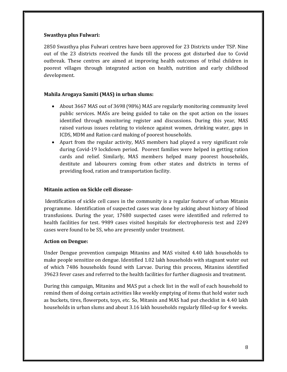## **Swasthya plus Fulwari:**

2850 Swasthya plus Fulwari centres have been approved for 23 Districts under TSP. Nine out of the 23 districts received the funds till the process got disturbed due to Covid outbreak. These centres are aimed at improving health outcomes of tribal children in poorest villages through integrated action on health, nutrition and early childhood development. 

## **Mahila Arogaya Samiti (MAS) in urban slums:**

- About 3667 MAS out of 3698 (98%) MAS are regularly monitoring community level public services. MASs are being guided to take on the spot action on the issues identified through monitoring register and discussions. During this year, MAS raised various issues relating to violence against women, drinking water, gaps in ICDS, MDM and Ration card making of poorest households.
- Apart from the regular activity, MAS members had played a very significant role during Covid-19 lockdown period. Poorest families were helped in getting ration cards and relief. Similarly, MAS members helped many poorest households, destitute and labourers coming from other states and districts in terms of providing food, ration and transportation facility.

## **Mitanin action on Sickle cell disease‐**

Identification of sickle cell cases in the community is a regular feature of urban Mitanin programme. Identification of suspected cases was done by asking about history of blood transfusions. During the year, 17680 suspected cases were identified and referred to health facilities for test. 9989 cases visited hospitals for electrophoresis test and 2249 cases were found to be SS, who are presently under treatment.

## **Action on Dengue:**

Under Dengue prevention campaign Mitanins and MAS visited 4.40 lakh households to make people sensitize on dengue. Identified 1.02 lakh households with stagnant water out of which 7486 households found with Larvae. During this process, Mitanins identified 39623 fever cases and referred to the health facilities for further diagnosis and treatment.

During this campaign, Mitanins and MAS put a check list in the wall of each household to remind them of doing certain activities like weekly emptying of items that hold water such as buckets, tires, flowerpots, toys, etc. So, Mitanin and MAS had put checklist in 4.40 lakh households in urban slums and about 3.16 lakh households regularly filled-up for 4 weeks.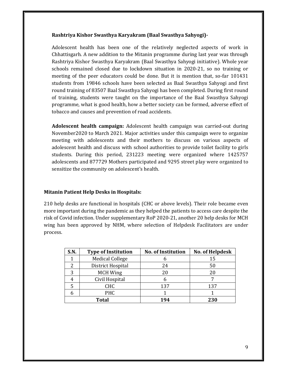## **Rashtriya Kishor Swasthya Karyakram (Baal Swasthya Sahyogi)‐**

Adolescent health has been one of the relatively neglected aspects of work in Chhattisgarh. A new addition to the Mitanin programme during last year was through Rashtriya Kishor Swasthya Karyakram (Baal Swasthya Sahyogi initiative). Whole year schools remained closed due to lockdown situation in 2020-21, so no training or meeting of the peer educators could be done. But it is mention that, so-far 101431 students from 19846 schools have been selected as Baal Swasthya Sahyogi and first round training of 83507 Baal Swasthya Sahyogi has been completed. During first round of training, students were taught on the importance of the Baal Swasthya Sahyogi programme, what is good health, how a better society can be formed, adverse effect of tobacco and causes and prevention of road accidents.

**Adolescent health campaign:** Adolescent health campaign was carried-out during November2020 to March 2021. Major activities under this campaign were to organize meeting with adolescents and their mothers to discuss on various aspects of adolescent health and discuss with school authorities to provide toilet facility to girls students. During this period, 231223 meeting were organized where 1425757 adolescents and 877729 Mothers participated and 9295 street play were organized to sensitize the community on adolescent's health.

## **Mitanin Patient Help Desks in Hospitals:**

210 help desks are functional in hospitals (CHC or above levels). Their role became even more important during the pandemic as they helped the patients to access care despite the risk of Covid infection. Under supplementary RoP 2020-21, another 20 help desks for MCH wing has been approved by NHM, where selection of Helpdesk Facilitators are under process. 

| S.N.  | <b>Type of Institution</b> | <b>No. of Institution</b> | No. of Helpdesk |
|-------|----------------------------|---------------------------|-----------------|
|       | <b>Medical College</b>     |                           | 15              |
|       | District Hospital          | 24                        | 50              |
| 3     | <b>MCH Wing</b>            | 20                        | 20              |
|       | Civil Hospital             |                           |                 |
|       | <b>CHC</b>                 | 137                       | 137             |
|       | <b>PHC</b>                 |                           |                 |
| Total |                            | 194                       | 230             |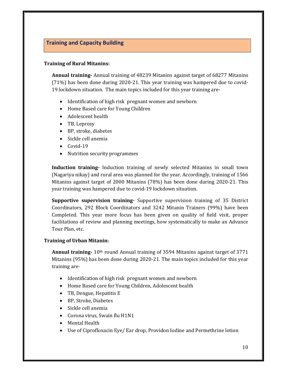# **Training and Capacity Building**

## **Training of Rural Mitanins:**

**Annual training** Annual training of 48239 Mitanins against target of 68277 Mitanins  $(71%)$  has been done during 2020-21. This year training was hampered due to covid-19 lockdown situation. The main topics included for this year training are-

- Identification of high risk pregnant women and newborn
- Home Based care for Young Children
- Adolescent health
- TB, Leprosy
- BP, stroke, diabetes
- Sickle cell anemia
- $\bullet$  Covid-19
- Nutrition security programmes

**Induction training** Induction training of newly selected Mitanins in small town (Nagariya nikay) and rural area was planned for the year. Accordingly, training of 1566 Mitanins against target of 2000 Mitanins  $(78%)$  has been done during 2020-21. This year training was hampered due to covid-19 lockdown situation.

**Supportive supervision training** Supportive supervision training of 35 District Coordinators, 292 Block Coordinators and 3242 Mitanin Trainers (99%) have been Completed. This year more focus has been given on quality of field visit, proper facilitations of review and planning meetings, how systematically to make an Advance Tour Plan, etc.

## **Training of Urban Mitanin:**

**Annual training** 10<sup>th</sup> round Annual training of 3594 Mitanins against target of 3771 Mitanins  $(95%)$  has been done during 2020-21. The main topics included for this year training are-

- Identification of high risk pregnant women and newborn
- Home Based care for Young Children, Adolescent health
- TB, Dengue, Hepatitis E
- BP, Stroke, Diabetes
- Sickle cell anemia
- Corona virus, Swain flu H1N1
- Mental Health
- Use of Ciprofloxacin Eye/ Ear drop, Providon Iodine and Permethrine lotion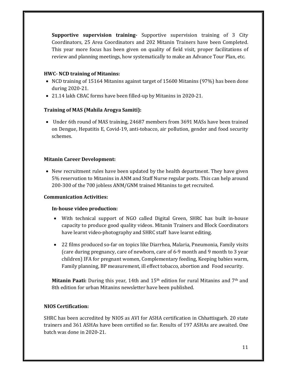**Supportive supervision training** Supportive supervision training of 3 City Coordinators, 25 Area Coordinators and 202 Mitanin Trainers have been Completed. This year more focus has been given on quality of field visit, proper facilitations of review and planning meetings, how systematically to make an Advance Tour Plan, etc.

## **HWC‐ NCD training of Mitanins:**

- NCD training of 15164 Mitanins against target of 15600 Mitanins (97%) has been done during 2020‐21.
- 21.14 lakh CBAC forms have been filled-up by Mitanins in 2020-21.

## **Training of MAS (Mahila Arogya Samiti):**

• Under 6th round of MAS training, 24687 members from 3691 MASs have been trained on Dengue, Hepatitis E, Covid-19, anti-tobacco, air pollution, gender and food security schemes. 

## **Mitanin Career Development:**

• New recruitment rules have been updated by the health department. They have given 5% reservation to Mitanins in ANM and Staff Nurse regular posts. This can help around 200-300 of the 700 jobless ANM/GNM trained Mitanins to get recruited.

## **Communication Activities:**

## **In‐house video production:**

- With technical support of NGO called Digital Green, SHRC has built in-house capacity to produce good quality videos. Mitanin Trainers and Block Coordinators have learnt video-photography and SHRC staff have learnt editing.
- 22 films produced so-far on topics like Diarrhea, Malaria, Pneumonia, Family visits (care during pregnancy, care of newborn, care of 6-9 month and 9 month to 3 year children) IFA for pregnant women, Complementary feeding, Keeping babies warm, Family planning, BP measurement, ill effect tobacco, abortion and Food security.

**Mitanin Paati:** During this year, 14th and 15<sup>th</sup> edition for rural Mitanins and 7<sup>th</sup> and 8th edition for urban Mitanins newsletter have been published.

## **NIOS Certification:**

SHRC has been accredited by NIOS as AVI for ASHA certification in Chhattisgarh. 20 state trainers and 361 ASHAs have been certified so far. Results of 197 ASHAs are awaited. One batch was done in 2020-21.